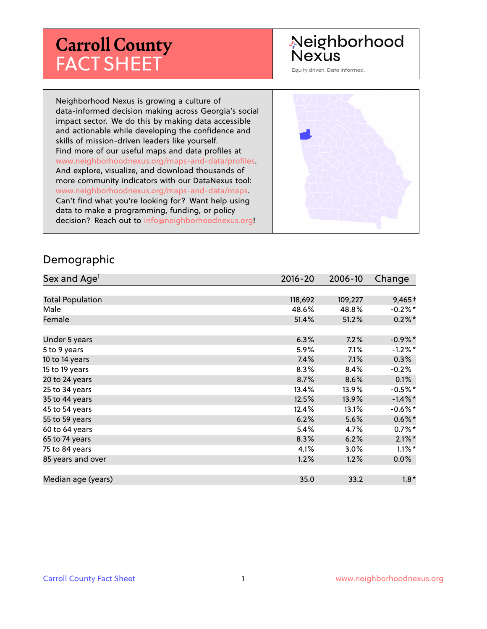# **Carroll County** FACT SHEET

## Neighborhood **Nexus**

Equity driven. Data informed.

Neighborhood Nexus is growing a culture of data-informed decision making across Georgia's social impact sector. We do this by making data accessible and actionable while developing the confidence and skills of mission-driven leaders like yourself. Find more of our useful maps and data profiles at www.neighborhoodnexus.org/maps-and-data/profiles. And explore, visualize, and download thousands of more community indicators with our DataNexus tool: www.neighborhoodnexus.org/maps-and-data/maps. Can't find what you're looking for? Want help using data to make a programming, funding, or policy decision? Reach out to [info@neighborhoodnexus.org!](mailto:info@neighborhoodnexus.org)



#### Demographic

| Sex and Age <sup>1</sup> | $2016 - 20$ | 2006-10 | Change     |
|--------------------------|-------------|---------|------------|
|                          |             |         |            |
| <b>Total Population</b>  | 118,692     | 109,227 | $9,465+$   |
| Male                     | 48.6%       | 48.8%   | $-0.2%$ *  |
| Female                   | 51.4%       | 51.2%   | $0.2\%$ *  |
|                          |             |         |            |
| Under 5 years            | 6.3%        | 7.2%    | $-0.9\%$ * |
| 5 to 9 years             | 5.9%        | 7.1%    | $-1.2\%$ * |
| 10 to 14 years           | 7.4%        | 7.1%    | $0.3\%$    |
| 15 to 19 years           | 8.3%        | 8.4%    | $-0.2%$    |
| 20 to 24 years           | 8.7%        | 8.6%    | 0.1%       |
| 25 to 34 years           | 13.4%       | 13.9%   | $-0.5%$ *  |
| 35 to 44 years           | 12.5%       | 13.9%   | $-1.4\%$ * |
| 45 to 54 years           | 12.4%       | 13.1%   | $-0.6%$ *  |
| 55 to 59 years           | 6.2%        | 5.6%    | $0.6\%$ *  |
| 60 to 64 years           | 5.4%        | 4.7%    | $0.7%$ *   |
| 65 to 74 years           | 8.3%        | 6.2%    | $2.1\%$ *  |
| 75 to 84 years           | 4.1%        | 3.0%    | $1.1\%$ *  |
| 85 years and over        | 1.2%        | 1.2%    | $0.0\%$    |
|                          |             |         |            |
| Median age (years)       | 35.0        | 33.2    | $1.8*$     |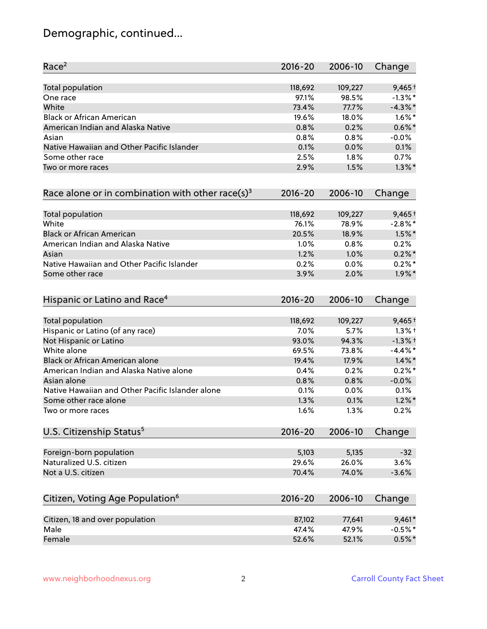## Demographic, continued...

| Race <sup>2</sup>                                            | $2016 - 20$ | 2006-10 | Change     |
|--------------------------------------------------------------|-------------|---------|------------|
| <b>Total population</b>                                      | 118,692     | 109,227 | $9,465+$   |
| One race                                                     | 97.1%       | 98.5%   | $-1.3\%$ * |
| White                                                        | 73.4%       | 77.7%   | $-4.3\%$ * |
| <b>Black or African American</b>                             | 19.6%       | 18.0%   | $1.6\%$ *  |
| American Indian and Alaska Native                            | 0.8%        | 0.2%    | $0.6\%$ *  |
| Asian                                                        | 0.8%        | 0.8%    | $-0.0%$    |
| Native Hawaiian and Other Pacific Islander                   | 0.1%        | 0.0%    | 0.1%       |
| Some other race                                              | 2.5%        | 1.8%    | 0.7%       |
| Two or more races                                            | 2.9%        | 1.5%    | $1.3\%$ *  |
| Race alone or in combination with other race(s) <sup>3</sup> | $2016 - 20$ | 2006-10 | Change     |
| Total population                                             | 118,692     | 109,227 | $9,465+$   |
| White                                                        | 76.1%       | 78.9%   | $-2.8\%$ * |
| <b>Black or African American</b>                             | 20.5%       | 18.9%   | $1.5\%$ *  |
| American Indian and Alaska Native                            | 1.0%        | 0.8%    | 0.2%       |
| Asian                                                        | 1.2%        | 1.0%    | $0.2\%$ *  |
| Native Hawaiian and Other Pacific Islander                   | 0.2%        | 0.0%    | $0.2%$ *   |
| Some other race                                              | 3.9%        | 2.0%    | $1.9\%$ *  |
| Hispanic or Latino and Race <sup>4</sup>                     | $2016 - 20$ | 2006-10 | Change     |
| Total population                                             | 118,692     | 109,227 | $9,465+$   |
| Hispanic or Latino (of any race)                             | 7.0%        | 5.7%    | $1.3%$ †   |
| Not Hispanic or Latino                                       | 93.0%       | 94.3%   | $-1.3%$ +  |
| White alone                                                  | 69.5%       | 73.8%   | $-4.4\%$ * |
| Black or African American alone                              | 19.4%       | 17.9%   | $1.4\%$ *  |
| American Indian and Alaska Native alone                      | 0.4%        | 0.2%    | $0.2%$ *   |
| Asian alone                                                  | 0.8%        | 0.8%    | $-0.0%$    |
| Native Hawaiian and Other Pacific Islander alone             | 0.1%        | 0.0%    | 0.1%       |
| Some other race alone                                        | 1.3%        | 0.1%    | $1.2\%$ *  |
| Two or more races                                            | 1.6%        | 1.3%    | 0.2%       |
| U.S. Citizenship Status <sup>5</sup>                         | $2016 - 20$ | 2006-10 | Change     |
| Foreign-born population                                      | 5,103       | 5,135   | $-32$      |
| Naturalized U.S. citizen                                     | 29.6%       | 26.0%   | 3.6%       |
| Not a U.S. citizen                                           | 70.4%       | 74.0%   | $-3.6%$    |
| Citizen, Voting Age Population <sup>6</sup>                  | $2016 - 20$ | 2006-10 | Change     |
|                                                              |             |         |            |
| Citizen, 18 and over population                              | 87,102      | 77,641  | $9,461*$   |
| Male                                                         | 47.4%       | 47.9%   | $-0.5%$ *  |
| Female                                                       | 52.6%       | 52.1%   | $0.5%$ *   |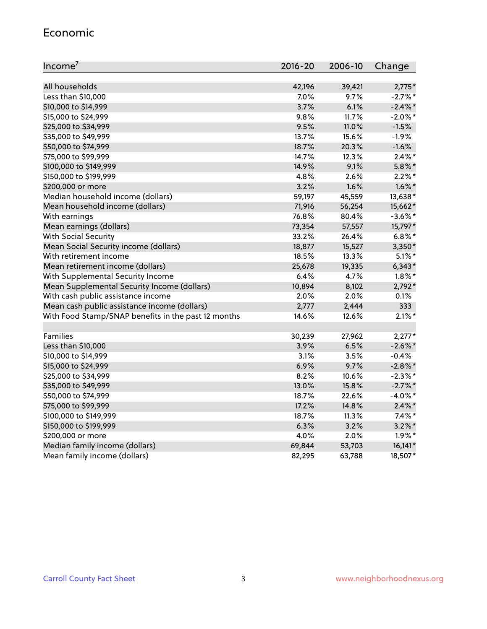#### Economic

| Income <sup>7</sup>                                 | $2016 - 20$ | 2006-10 | Change     |
|-----------------------------------------------------|-------------|---------|------------|
|                                                     |             |         |            |
| All households                                      | 42,196      | 39,421  | $2,775*$   |
| Less than \$10,000                                  | 7.0%        | 9.7%    | $-2.7%$ *  |
| \$10,000 to \$14,999                                | 3.7%        | 6.1%    | $-2.4\%$ * |
| \$15,000 to \$24,999                                | 9.8%        | 11.7%   | $-2.0\%$ * |
| \$25,000 to \$34,999                                | 9.5%        | 11.0%   | $-1.5%$    |
| \$35,000 to \$49,999                                | 13.7%       | 15.6%   | $-1.9%$    |
| \$50,000 to \$74,999                                | 18.7%       | 20.3%   | $-1.6%$    |
| \$75,000 to \$99,999                                | 14.7%       | 12.3%   | $2.4\%$ *  |
| \$100,000 to \$149,999                              | 14.9%       | 9.1%    | $5.8\%$ *  |
| \$150,000 to \$199,999                              | 4.8%        | 2.6%    | $2.2\%$ *  |
| \$200,000 or more                                   | 3.2%        | 1.6%    | $1.6\%$ *  |
| Median household income (dollars)                   | 59,197      | 45,559  | 13,638*    |
| Mean household income (dollars)                     | 71,916      | 56,254  | 15,662*    |
| With earnings                                       | 76.8%       | 80.4%   | $-3.6\%$ * |
| Mean earnings (dollars)                             | 73,354      | 57,557  | 15,797*    |
| <b>With Social Security</b>                         | 33.2%       | 26.4%   | $6.8\%$ *  |
| Mean Social Security income (dollars)               | 18,877      | 15,527  | $3,350*$   |
| With retirement income                              | 18.5%       | 13.3%   | $5.1\%$ *  |
| Mean retirement income (dollars)                    | 25,678      | 19,335  | $6,343*$   |
| With Supplemental Security Income                   | 6.4%        | 4.7%    | $1.8\%$ *  |
| Mean Supplemental Security Income (dollars)         | 10,894      | 8,102   | $2,792*$   |
| With cash public assistance income                  | 2.0%        | 2.0%    | 0.1%       |
| Mean cash public assistance income (dollars)        | 2,777       | 2,444   | 333        |
| With Food Stamp/SNAP benefits in the past 12 months | 14.6%       | 12.6%   | $2.1\%$ *  |
|                                                     |             |         |            |
| Families                                            | 30,239      | 27,962  | $2,277*$   |
| Less than \$10,000                                  | 3.9%        | 6.5%    | $-2.6\%$ * |
| \$10,000 to \$14,999                                | 3.1%        | 3.5%    | $-0.4%$    |
| \$15,000 to \$24,999                                | 6.9%        | 9.7%    | $-2.8\%$ * |
| \$25,000 to \$34,999                                | 8.2%        | 10.6%   | $-2.3\%$ * |
| \$35,000 to \$49,999                                | 13.0%       | 15.8%   | $-2.7\%$ * |
| \$50,000 to \$74,999                                | 18.7%       | 22.6%   | $-4.0\%$ * |
| \$75,000 to \$99,999                                | 17.2%       | 14.8%   | $2.4\%$ *  |
| \$100,000 to \$149,999                              | 18.7%       | 11.3%   | $7.4\%$ *  |
| \$150,000 to \$199,999                              | 6.3%        | 3.2%    | $3.2\%$ *  |
| \$200,000 or more                                   | 4.0%        | 2.0%    | $1.9\%$ *  |
| Median family income (dollars)                      | 69,844      | 53,703  | $16,141*$  |
| Mean family income (dollars)                        | 82,295      | 63,788  | 18,507*    |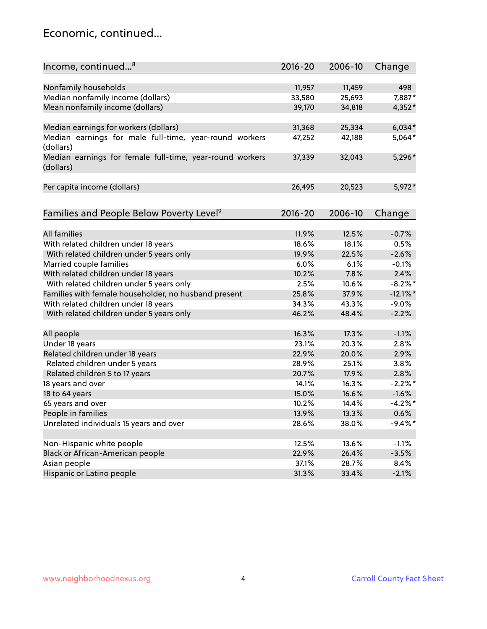### Economic, continued...

| Income, continued <sup>8</sup>                           | $2016 - 20$ | 2006-10 | Change      |
|----------------------------------------------------------|-------------|---------|-------------|
| Nonfamily households                                     | 11,957      | 11,459  | 498         |
|                                                          |             |         |             |
| Median nonfamily income (dollars)                        | 33,580      | 25,693  | 7,887*      |
| Mean nonfamily income (dollars)                          | 39,170      | 34,818  | 4,352*      |
| Median earnings for workers (dollars)                    | 31,368      | 25,334  | $6,034*$    |
| Median earnings for male full-time, year-round workers   | 47,252      | 42,188  | 5,064*      |
| (dollars)                                                |             |         |             |
| Median earnings for female full-time, year-round workers | 37,339      | 32,043  | 5,296*      |
| (dollars)                                                |             |         |             |
| Per capita income (dollars)                              | 26,495      | 20,523  | 5,972*      |
|                                                          |             |         |             |
|                                                          | $2016 - 20$ | 2006-10 |             |
| Families and People Below Poverty Level <sup>9</sup>     |             |         | Change      |
| All families                                             | 11.9%       | 12.5%   | $-0.7%$     |
|                                                          |             |         |             |
| With related children under 18 years                     | 18.6%       | 18.1%   | 0.5%        |
| With related children under 5 years only                 | 19.9%       | 22.5%   | $-2.6%$     |
| Married couple families                                  | 6.0%        | 6.1%    | $-0.1%$     |
| With related children under 18 years                     | 10.2%       | 7.8%    | 2.4%        |
| With related children under 5 years only                 | 2.5%        | 10.6%   | $-8.2\%$ *  |
| Families with female householder, no husband present     | 25.8%       | 37.9%   | $-12.1\%$ * |
| With related children under 18 years                     | 34.3%       | 43.3%   | $-9.0%$     |
| With related children under 5 years only                 | 46.2%       | 48.4%   | $-2.2%$     |
| All people                                               | 16.3%       | 17.3%   | $-1.1%$     |
| Under 18 years                                           | 23.1%       | 20.3%   | 2.8%        |
| Related children under 18 years                          | 22.9%       | 20.0%   | 2.9%        |
| Related children under 5 years                           | 28.9%       | 25.1%   | 3.8%        |
| Related children 5 to 17 years                           | 20.7%       | 17.9%   | 2.8%        |
| 18 years and over                                        | 14.1%       | 16.3%   | $-2.2\%$ *  |
|                                                          |             |         |             |
| 18 to 64 years                                           | 15.0%       | 16.6%   | $-1.6%$     |
| 65 years and over                                        | 10.2%       | 14.4%   | $-4.2%$ *   |
| People in families                                       | 13.9%       | 13.3%   | 0.6%        |
| Unrelated individuals 15 years and over                  | 28.6%       | 38.0%   | $-9.4%$ *   |
|                                                          |             |         |             |
| Non-Hispanic white people                                | 12.5%       | 13.6%   | $-1.1%$     |
| Black or African-American people                         | 22.9%       | 26.4%   | $-3.5%$     |
| Asian people                                             | 37.1%       | 28.7%   | 8.4%        |
| Hispanic or Latino people                                | 31.3%       | 33.4%   | $-2.1%$     |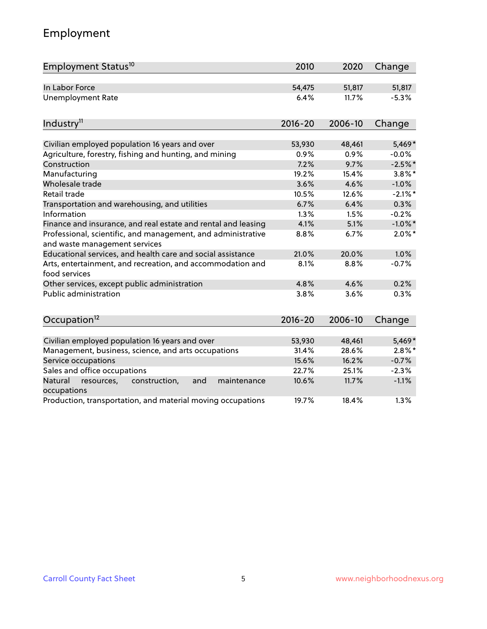## Employment

| Employment Status <sup>10</sup>                                                               | 2010        | 2020    | Change     |
|-----------------------------------------------------------------------------------------------|-------------|---------|------------|
| In Labor Force                                                                                | 54,475      | 51,817  | 51,817     |
| <b>Unemployment Rate</b>                                                                      | 6.4%        | 11.7%   | $-5.3%$    |
| Industry <sup>11</sup>                                                                        | $2016 - 20$ | 2006-10 | Change     |
| Civilian employed population 16 years and over                                                | 53,930      | 48,461  | 5,469*     |
| Agriculture, forestry, fishing and hunting, and mining                                        | 0.9%        | 0.9%    | $-0.0%$    |
| Construction                                                                                  | 7.2%        | 9.7%    | $-2.5%$ *  |
| Manufacturing                                                                                 | 19.2%       | 15.4%   | $3.8\%$ *  |
| Wholesale trade                                                                               | 3.6%        | 4.6%    | $-1.0%$    |
| Retail trade                                                                                  | 10.5%       | 12.6%   | $-2.1\%$ * |
| Transportation and warehousing, and utilities                                                 | 6.7%        | 6.4%    | 0.3%       |
| Information                                                                                   | 1.3%        | 1.5%    | $-0.2%$    |
| Finance and insurance, and real estate and rental and leasing                                 | 4.1%        | 5.1%    | $-1.0\%$ * |
| Professional, scientific, and management, and administrative<br>and waste management services | 8.8%        | 6.7%    | $2.0\%$ *  |
| Educational services, and health care and social assistance                                   | 21.0%       | 20.0%   | 1.0%       |
| Arts, entertainment, and recreation, and accommodation and<br>food services                   | 8.1%        | 8.8%    | $-0.7%$    |
| Other services, except public administration                                                  | 4.8%        | 4.6%    | 0.2%       |
| <b>Public administration</b>                                                                  | 3.8%        | 3.6%    | 0.3%       |
| Occupation <sup>12</sup>                                                                      | $2016 - 20$ | 2006-10 | Change     |
|                                                                                               |             |         |            |
| Civilian employed population 16 years and over                                                | 53,930      | 48,461  | 5,469*     |
| Management, business, science, and arts occupations                                           | 31.4%       | 28.6%   | $2.8\%$ *  |
| Service occupations                                                                           | 15.6%       | 16.2%   | $-0.7%$    |
| Sales and office occupations                                                                  | 22.7%       | 25.1%   | $-2.3%$    |
| Natural<br>resources,<br>construction,<br>and<br>maintenance<br>occupations                   | 10.6%       | 11.7%   | $-1.1%$    |
| Production, transportation, and material moving occupations                                   | 19.7%       | 18.4%   | 1.3%       |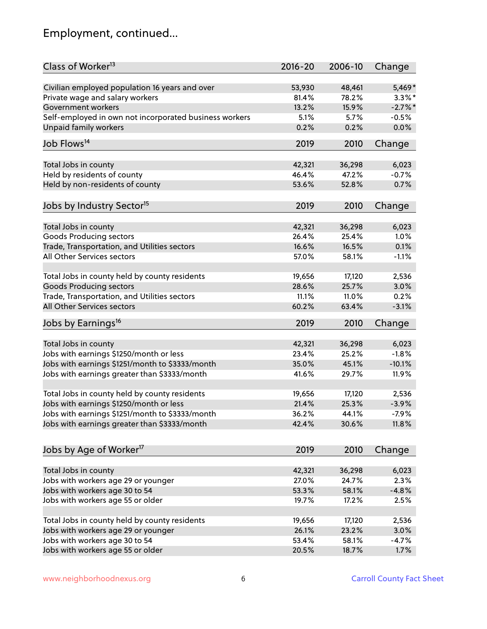## Employment, continued...

| Class of Worker <sup>13</sup>                                   | $2016 - 20$     | 2006-10         | Change           |
|-----------------------------------------------------------------|-----------------|-----------------|------------------|
| Civilian employed population 16 years and over                  | 53,930          | 48,461          | 5,469*           |
| Private wage and salary workers                                 | 81.4%           | 78.2%           | $3.3\%$ *        |
| Government workers                                              | 13.2%           | 15.9%           | $-2.7\%$ *       |
| Self-employed in own not incorporated business workers          | 5.1%            | 5.7%            | $-0.5%$          |
| <b>Unpaid family workers</b>                                    | 0.2%            | 0.2%            | 0.0%             |
| Job Flows <sup>14</sup>                                         | 2019            | 2010            | Change           |
|                                                                 |                 |                 |                  |
| Total Jobs in county                                            | 42,321          | 36,298          | 6,023            |
| Held by residents of county                                     | 46.4%           | 47.2%           | $-0.7%$          |
| Held by non-residents of county                                 | 53.6%           | 52.8%           | 0.7%             |
| Jobs by Industry Sector <sup>15</sup>                           | 2019            | 2010            | Change           |
| Total Jobs in county                                            | 42,321          | 36,298          | 6,023            |
| <b>Goods Producing sectors</b>                                  | 26.4%           | 25.4%           | 1.0%             |
| Trade, Transportation, and Utilities sectors                    | 16.6%           | 16.5%           | 0.1%             |
| All Other Services sectors                                      | 57.0%           | 58.1%           | $-1.1%$          |
|                                                                 |                 |                 |                  |
| Total Jobs in county held by county residents                   | 19,656          | 17,120          | 2,536            |
| <b>Goods Producing sectors</b>                                  | 28.6%           | 25.7%           | 3.0%             |
| Trade, Transportation, and Utilities sectors                    | 11.1%           | 11.0%           | 0.2%             |
| All Other Services sectors                                      | 60.2%           | 63.4%           | $-3.1%$          |
| Jobs by Earnings <sup>16</sup>                                  | 2019            | 2010            | Change           |
|                                                                 |                 |                 |                  |
| Total Jobs in county<br>Jobs with earnings \$1250/month or less | 42,321<br>23.4% | 36,298<br>25.2% | 6,023<br>$-1.8%$ |
|                                                                 | 35.0%           | 45.1%           |                  |
| Jobs with earnings \$1251/month to \$3333/month                 |                 |                 | $-10.1%$         |
| Jobs with earnings greater than \$3333/month                    | 41.6%           | 29.7%           | 11.9%            |
| Total Jobs in county held by county residents                   | 19,656          | 17,120          | 2,536            |
| Jobs with earnings \$1250/month or less                         | 21.4%           | 25.3%           | $-3.9%$          |
| Jobs with earnings \$1251/month to \$3333/month                 | 36.2%           | 44.1%           | -7.9%            |
| Jobs with earnings greater than \$3333/month                    | 42.4%           | 30.6%           | 11.8%            |
| Jobs by Age of Worker <sup>17</sup>                             |                 | 2010            | Change           |
|                                                                 | 2019            |                 |                  |
| Total Jobs in county                                            | 42,321          | 36,298          | 6,023            |
| Jobs with workers age 29 or younger                             | 27.0%           | 24.7%           | 2.3%             |
| Jobs with workers age 30 to 54                                  | 53.3%           | 58.1%           | $-4.8%$          |
| Jobs with workers age 55 or older                               | 19.7%           | 17.2%           | 2.5%             |
|                                                                 |                 |                 |                  |
| Total Jobs in county held by county residents                   | 19,656          | 17,120          | 2,536            |
| Jobs with workers age 29 or younger                             | 26.1%           | 23.2%           | 3.0%             |
| Jobs with workers age 30 to 54                                  | 53.4%           | 58.1%           | $-4.7%$          |
| Jobs with workers age 55 or older                               | 20.5%           | 18.7%           | 1.7%             |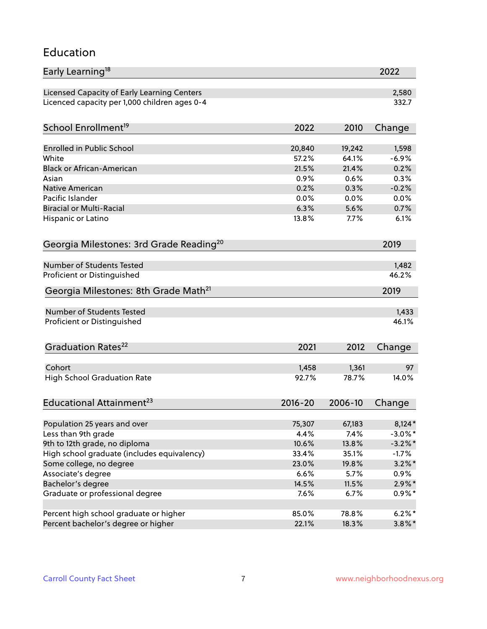#### Education

| Early Learning <sup>18</sup>                        |             |         | 2022       |
|-----------------------------------------------------|-------------|---------|------------|
| Licensed Capacity of Early Learning Centers         |             |         | 2,580      |
| Licenced capacity per 1,000 children ages 0-4       |             |         | 332.7      |
| School Enrollment <sup>19</sup>                     | 2022        | 2010    |            |
|                                                     |             |         | Change     |
| <b>Enrolled in Public School</b>                    | 20,840      | 19,242  | 1,598      |
| White                                               | 57.2%       | 64.1%   | $-6.9%$    |
| <b>Black or African-American</b>                    | 21.5%       | 21.4%   | 0.2%       |
| Asian                                               | 0.9%        | 0.6%    | 0.3%       |
| Native American                                     | 0.2%        | 0.3%    | $-0.2%$    |
| Pacific Islander                                    | 0.0%        | 0.0%    | 0.0%       |
| <b>Biracial or Multi-Racial</b>                     | 6.3%        | 5.6%    | 0.7%       |
| Hispanic or Latino                                  | 13.8%       | 7.7%    | 6.1%       |
| Georgia Milestones: 3rd Grade Reading <sup>20</sup> |             |         | 2019       |
|                                                     |             |         |            |
| <b>Number of Students Tested</b>                    |             |         | 1,482      |
| Proficient or Distinguished                         |             |         | 46.2%      |
| Georgia Milestones: 8th Grade Math <sup>21</sup>    |             |         | 2019       |
| Number of Students Tested                           |             |         | 1,433      |
| Proficient or Distinguished                         |             |         | 46.1%      |
| Graduation Rates <sup>22</sup>                      | 2021        | 2012    |            |
|                                                     |             |         | Change     |
| Cohort                                              | 1,458       | 1,361   | 97         |
| <b>High School Graduation Rate</b>                  | 92.7%       | 78.7%   | 14.0%      |
|                                                     |             |         |            |
| Educational Attainment <sup>23</sup>                | $2016 - 20$ | 2006-10 | Change     |
|                                                     |             |         |            |
| Population 25 years and over                        | 75,307      | 67,183  | 8,124*     |
| Less than 9th grade                                 | 4.4%        | 7.4%    | $-3.0\%$ * |
| 9th to 12th grade, no diploma                       | 10.6%       | 13.8%   | $-3.2\%$ * |
| High school graduate (includes equivalency)         | 33.4%       | 35.1%   | $-1.7%$    |
| Some college, no degree                             | 23.0%       | 19.8%   | $3.2\%$ *  |
| Associate's degree                                  | 6.6%        | 5.7%    | $0.9\%$    |
| Bachelor's degree                                   | 14.5%       | 11.5%   | $2.9\%$ *  |
| Graduate or professional degree                     | 7.6%        | 6.7%    | $0.9\%*$   |
| Percent high school graduate or higher              | 85.0%       | 78.8%   | $6.2%$ *   |
| Percent bachelor's degree or higher                 | 22.1%       | 18.3%   | $3.8\%$ *  |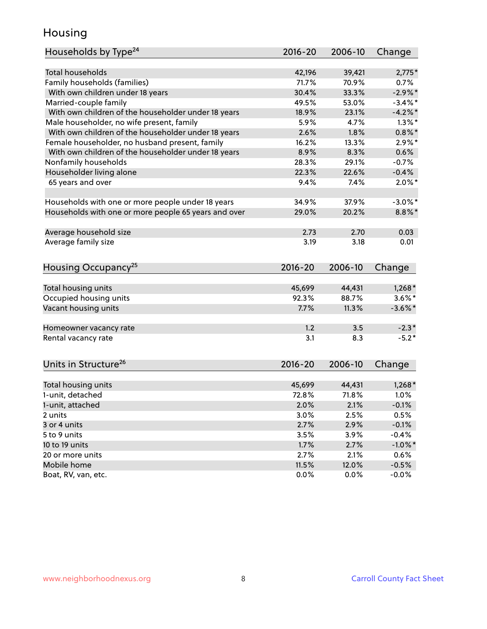### Housing

| Households by Type <sup>24</sup>                     | 2016-20     | 2006-10 | Change     |
|------------------------------------------------------|-------------|---------|------------|
|                                                      |             |         |            |
| <b>Total households</b>                              | 42,196      | 39,421  | $2,775*$   |
| Family households (families)                         | 71.7%       | 70.9%   | 0.7%       |
| With own children under 18 years                     | 30.4%       | 33.3%   | $-2.9%$ *  |
| Married-couple family                                | 49.5%       | 53.0%   | $-3.4\%$ * |
| With own children of the householder under 18 years  | 18.9%       | 23.1%   | $-4.2\%$ * |
| Male householder, no wife present, family            | 5.9%        | 4.7%    | $1.3\%$ *  |
| With own children of the householder under 18 years  | 2.6%        | 1.8%    | $0.8\%$ *  |
| Female householder, no husband present, family       | 16.2%       | 13.3%   | $2.9\%$ *  |
| With own children of the householder under 18 years  | 8.9%        | 8.3%    | 0.6%       |
| Nonfamily households                                 | 28.3%       | 29.1%   | $-0.7%$    |
| Householder living alone                             | 22.3%       | 22.6%   | $-0.4%$    |
| 65 years and over                                    | 9.4%        | 7.4%    | $2.0\%$ *  |
|                                                      |             |         |            |
| Households with one or more people under 18 years    | 34.9%       | 37.9%   | $-3.0\%$ * |
| Households with one or more people 65 years and over | 29.0%       | 20.2%   | $8.8\%$ *  |
|                                                      |             |         |            |
| Average household size                               | 2.73        | 2.70    | 0.03       |
| Average family size                                  | 3.19        | 3.18    | 0.01       |
|                                                      |             |         |            |
| Housing Occupancy <sup>25</sup>                      | $2016 - 20$ | 2006-10 | Change     |
|                                                      |             |         |            |
| Total housing units                                  | 45,699      | 44,431  | $1,268*$   |
| Occupied housing units                               | 92.3%       | 88.7%   | $3.6\%$ *  |
| Vacant housing units                                 | 7.7%        | 11.3%   | $-3.6\%$ * |
|                                                      |             |         |            |
| Homeowner vacancy rate                               | 1.2         | 3.5     | $-2.3*$    |
| Rental vacancy rate                                  | 3.1         | 8.3     | $-5.2*$    |
|                                                      |             |         |            |
| Units in Structure <sup>26</sup>                     |             |         |            |
|                                                      | $2016 - 20$ | 2006-10 | Change     |
| Total housing units                                  | 45,699      | 44,431  | $1,268*$   |
| 1-unit, detached                                     | 72.8%       | 71.8%   | 1.0%       |
| 1-unit, attached                                     | 2.0%        | 2.1%    | $-0.1%$    |
| 2 units                                              | 3.0%        | 2.5%    | 0.5%       |
| 3 or 4 units                                         | 2.7%        | 2.9%    | $-0.1%$    |
| 5 to 9 units                                         | 3.5%        | 3.9%    | $-0.4%$    |
|                                                      |             |         |            |
| 10 to 19 units<br>20 or more units                   | 1.7%        | 2.7%    | $-1.0\%$ * |
| Mobile home                                          | 2.7%        | 2.1%    | 0.6%       |
|                                                      | 11.5%       | 12.0%   | $-0.5%$    |
| Boat, RV, van, etc.                                  | 0.0%        | 0.0%    | $-0.0\%$   |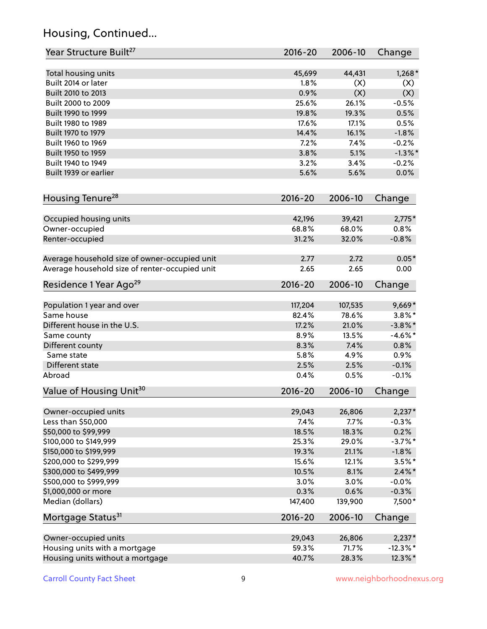## Housing, Continued...

| Year Structure Built <sup>27</sup>             | 2016-20     | 2006-10 | Change      |
|------------------------------------------------|-------------|---------|-------------|
| Total housing units                            | 45,699      | 44,431  | $1,268*$    |
| Built 2014 or later                            | 1.8%        | (X)     | (X)         |
| Built 2010 to 2013                             | 0.9%        | (X)     | (X)         |
| Built 2000 to 2009                             | 25.6%       | 26.1%   | $-0.5%$     |
| Built 1990 to 1999                             | 19.8%       | 19.3%   | 0.5%        |
| Built 1980 to 1989                             | 17.6%       | 17.1%   | 0.5%        |
| Built 1970 to 1979                             | 14.4%       | 16.1%   | $-1.8%$     |
| Built 1960 to 1969                             | 7.2%        | 7.4%    | $-0.2%$     |
| Built 1950 to 1959                             | 3.8%        | 5.1%    | $-1.3\%$ *  |
| Built 1940 to 1949                             | 3.2%        | 3.4%    | $-0.2%$     |
| Built 1939 or earlier                          | 5.6%        | 5.6%    | 0.0%        |
| Housing Tenure <sup>28</sup>                   | $2016 - 20$ | 2006-10 | Change      |
| Occupied housing units                         | 42,196      | 39,421  | $2,775*$    |
| Owner-occupied                                 | 68.8%       | 68.0%   | 0.8%        |
| Renter-occupied                                | 31.2%       | 32.0%   | $-0.8%$     |
| Average household size of owner-occupied unit  | 2.77        | 2.72    | $0.05*$     |
| Average household size of renter-occupied unit | 2.65        | 2.65    | 0.00        |
| Residence 1 Year Ago <sup>29</sup>             | $2016 - 20$ | 2006-10 | Change      |
| Population 1 year and over                     | 117,204     | 107,535 | $9,669*$    |
| Same house                                     | 82.4%       | 78.6%   | $3.8\%$ *   |
| Different house in the U.S.                    | 17.2%       | 21.0%   | $-3.8\%$ *  |
| Same county                                    | 8.9%        | 13.5%   | $-4.6\%$ *  |
| Different county                               | 8.3%        | 7.4%    | 0.8%        |
| Same state                                     | 5.8%        | 4.9%    | 0.9%        |
| Different state                                | 2.5%        | 2.5%    | $-0.1%$     |
| Abroad                                         | 0.4%        | 0.5%    | $-0.1%$     |
| Value of Housing Unit <sup>30</sup>            | 2016-20     | 2006-10 | Change      |
| Owner-occupied units                           | 29,043      | 26,806  | $2,237*$    |
| Less than \$50,000                             | 7.4%        | 7.7%    | $-0.3%$     |
| \$50,000 to \$99,999                           | 18.5%       | 18.3%   | 0.2%        |
| \$100,000 to \$149,999                         | 25.3%       | 29.0%   | $-3.7%$ *   |
| \$150,000 to \$199,999                         | 19.3%       | 21.1%   | $-1.8%$     |
| \$200,000 to \$299,999                         | 15.6%       | 12.1%   | $3.5%$ *    |
| \$300,000 to \$499,999                         | 10.5%       | 8.1%    | $2.4\%$ *   |
| \$500,000 to \$999,999                         | 3.0%        | 3.0%    | $-0.0%$     |
| \$1,000,000 or more                            | 0.3%        | 0.6%    | $-0.3%$     |
| Median (dollars)                               | 147,400     | 139,900 | $7,500*$    |
| Mortgage Status <sup>31</sup>                  | $2016 - 20$ | 2006-10 | Change      |
| Owner-occupied units                           | 29,043      | 26,806  | $2,237*$    |
| Housing units with a mortgage                  | 59.3%       | 71.7%   | $-12.3\%$ * |
| Housing units without a mortgage               | 40.7%       | 28.3%   | 12.3%*      |
|                                                |             |         |             |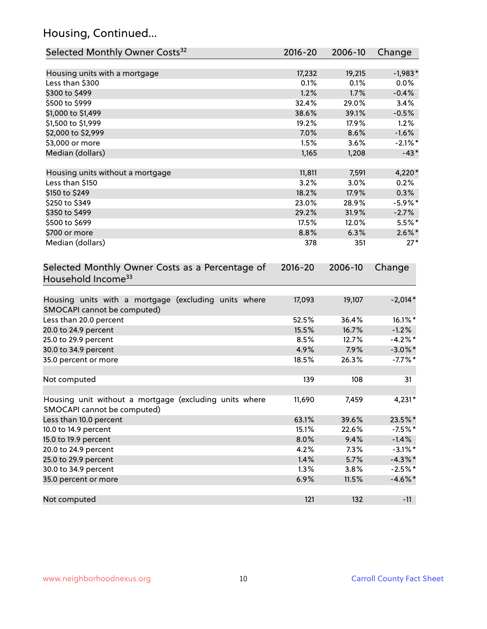## Housing, Continued...

| Selected Monthly Owner Costs <sup>32</sup>                                            | 2016-20     | 2006-10 | Change     |
|---------------------------------------------------------------------------------------|-------------|---------|------------|
| Housing units with a mortgage                                                         | 17,232      | 19,215  | $-1,983*$  |
| Less than \$300                                                                       | 0.1%        | 0.1%    | 0.0%       |
| \$300 to \$499                                                                        | 1.2%        | 1.7%    | $-0.4%$    |
| \$500 to \$999                                                                        | 32.4%       | 29.0%   | 3.4%       |
| \$1,000 to \$1,499                                                                    | 38.6%       | 39.1%   | $-0.5%$    |
| \$1,500 to \$1,999                                                                    | 19.2%       | 17.9%   | 1.2%       |
| \$2,000 to \$2,999                                                                    | 7.0%        | 8.6%    | $-1.6%$    |
| \$3,000 or more                                                                       | 1.5%        | 3.6%    | $-2.1\%$ * |
| Median (dollars)                                                                      | 1,165       | 1,208   | $-43*$     |
| Housing units without a mortgage                                                      | 11,811      | 7,591   | 4,220*     |
| Less than \$150                                                                       | 3.2%        | 3.0%    | 0.2%       |
| \$150 to \$249                                                                        | 18.2%       | 17.9%   | 0.3%       |
| \$250 to \$349                                                                        | 23.0%       | 28.9%   | $-5.9\%$ * |
| \$350 to \$499                                                                        | 29.2%       | 31.9%   | $-2.7%$    |
| \$500 to \$699                                                                        | 17.5%       | 12.0%   | $5.5%$ *   |
| \$700 or more                                                                         | 8.8%        | 6.3%    | $2.6\%$ *  |
| Median (dollars)                                                                      | 378         | 351     | $27*$      |
| Selected Monthly Owner Costs as a Percentage of<br>Household Income <sup>33</sup>     | $2016 - 20$ | 2006-10 | Change     |
| Housing units with a mortgage (excluding units where<br>SMOCAPI cannot be computed)   | 17,093      | 19,107  | $-2,014*$  |
| Less than 20.0 percent                                                                | 52.5%       | 36.4%   | 16.1%*     |
| 20.0 to 24.9 percent                                                                  | 15.5%       | 16.7%   | $-1.2%$    |
| 25.0 to 29.9 percent                                                                  | 8.5%        | 12.7%   | $-4.2\%$ * |
| 30.0 to 34.9 percent                                                                  | 4.9%        | 7.9%    | $-3.0\%$ * |
| 35.0 percent or more                                                                  | 18.5%       | 26.3%   | $-7.7\%$ * |
| Not computed                                                                          | 139         | 108     | 31         |
| Housing unit without a mortgage (excluding units where<br>SMOCAPI cannot be computed) | 11,690      | 7,459   | 4,231*     |
| Less than 10.0 percent                                                                | 63.1%       | 39.6%   | 23.5%*     |
| 10.0 to 14.9 percent                                                                  | 15.1%       | 22.6%   | $-7.5%$ *  |
| 15.0 to 19.9 percent                                                                  | 8.0%        | 9.4%    | $-1.4%$    |
| 20.0 to 24.9 percent                                                                  | 4.2%        | 7.3%    | $-3.1\%$ * |
| 25.0 to 29.9 percent                                                                  | 1.4%        | 5.7%    | $-4.3\%$ * |
| 30.0 to 34.9 percent                                                                  | 1.3%        | 3.8%    | $-2.5%$ *  |
| 35.0 percent or more                                                                  | 6.9%        | 11.5%   | $-4.6\%$ * |
| Not computed                                                                          | 121         | 132     | $-11$      |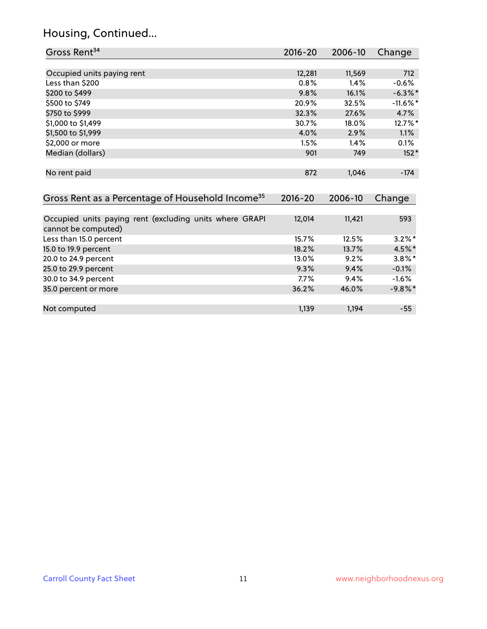## Housing, Continued...

| Gross Rent <sup>34</sup>                                                       | 2016-20            | $2006 - 10$      | Change           |
|--------------------------------------------------------------------------------|--------------------|------------------|------------------|
|                                                                                |                    |                  |                  |
| Occupied units paying rent                                                     | 12,281             | 11,569           | 712              |
| Less than \$200                                                                | 0.8%               | 1.4%             | $-0.6%$          |
| \$200 to \$499                                                                 | 9.8%               | 16.1%            | $-6.3\%$ *       |
| \$500 to \$749                                                                 | 20.9%              | 32.5%            | $-11.6\%$ *      |
| \$750 to \$999                                                                 | 32.3%              | 27.6%            | 4.7%             |
| \$1,000 to \$1,499                                                             | 30.7%              | 18.0%            | 12.7%*           |
| \$1,500 to \$1,999                                                             | 4.0%               | 2.9%             | 1.1%             |
| \$2,000 or more                                                                | 1.5%               | 1.4%             | 0.1%             |
| Median (dollars)                                                               | 901                | 749              | $152*$           |
| No rent paid<br>Gross Rent as a Percentage of Household Income <sup>35</sup>   | 872<br>$2016 - 20$ | 1,046<br>2006-10 | $-174$<br>Change |
|                                                                                |                    |                  |                  |
| Occupied units paying rent (excluding units where GRAPI<br>cannot be computed) | 12,014             | 11,421           | 593              |
| Less than 15.0 percent                                                         | 15.7%              | 12.5%            | $3.2\%$ *        |
| 15.0 to 19.9 percent                                                           | 18.2%              | 13.7%            | 4.5%*            |
| 20.0 to 24.9 percent                                                           | 13.0%              | 9.2%             | $3.8\%$ *        |
| 25.0 to 29.9 percent                                                           | 9.3%               | 9.4%             | $-0.1%$          |
| 30.0 to 34.9 percent                                                           | 7.7%               | 9.4%             | $-1.6%$          |
| 35.0 percent or more                                                           | 36.2%              | 46.0%            | $-9.8\%$ *       |
| Not computed                                                                   | 1,139              | 1,194            | $-55$            |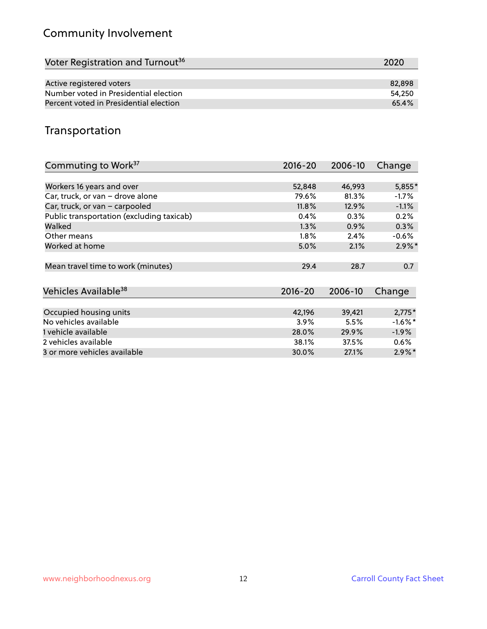## Community Involvement

| Voter Registration and Turnout <sup>36</sup> | 2020   |
|----------------------------------------------|--------|
|                                              |        |
| Active registered voters                     | 82,898 |
| Number voted in Presidential election        | 54,250 |
| Percent voted in Presidential election       | 65.4%  |

## Transportation

| Commuting to Work <sup>37</sup>           | 2016-20     | 2006-10 | Change     |
|-------------------------------------------|-------------|---------|------------|
|                                           |             |         |            |
| Workers 16 years and over                 | 52,848      | 46,993  | 5,855*     |
| Car, truck, or van - drove alone          | 79.6%       | 81.3%   | $-1.7%$    |
| Car, truck, or van - carpooled            | 11.8%       | 12.9%   | $-1.1%$    |
| Public transportation (excluding taxicab) | 0.4%        | 0.3%    | 0.2%       |
| Walked                                    | 1.3%        | 0.9%    | 0.3%       |
| Other means                               | 1.8%        | 2.4%    | $-0.6\%$   |
| Worked at home                            | 5.0%        | 2.1%    | $2.9\%$ *  |
| Mean travel time to work (minutes)        | 29.4        | 28.7    | 0.7        |
|                                           |             |         |            |
| Vehicles Available <sup>38</sup>          | $2016 - 20$ | 2006-10 | Change     |
| Occupied housing units                    | 42,196      | 39,421  | $2,775*$   |
| No vehicles available                     | 3.9%        | 5.5%    | $-1.6\%$ * |
| 1 vehicle available                       | 28.0%       | 29.9%   | $-1.9\%$   |
| 2 vehicles available                      | 38.1%       | 37.5%   | $0.6\%$    |
| 3 or more vehicles available              | 30.0%       | 27.1%   | $2.9\%$ *  |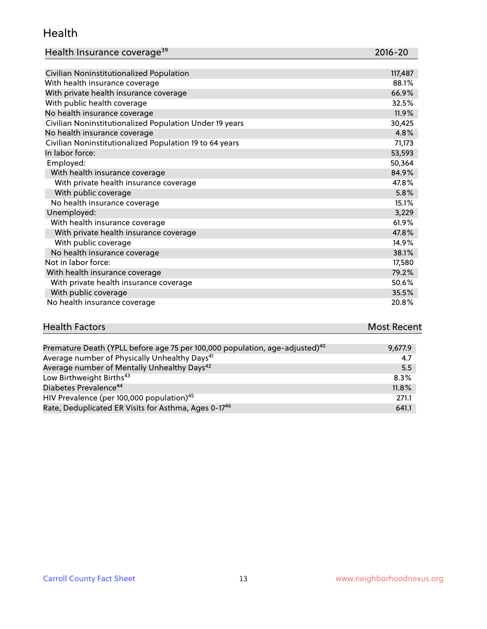#### Health

| Health Insurance coverage <sup>39</sup> | 2016-20 |
|-----------------------------------------|---------|
|-----------------------------------------|---------|

| Civilian Noninstitutionalized Population                | 117,487 |
|---------------------------------------------------------|---------|
| With health insurance coverage                          | 88.1%   |
| With private health insurance coverage                  | 66.9%   |
| With public health coverage                             | 32.5%   |
| No health insurance coverage                            | 11.9%   |
| Civilian Noninstitutionalized Population Under 19 years | 30,425  |
| No health insurance coverage                            | 4.8%    |
| Civilian Noninstitutionalized Population 19 to 64 years | 71,173  |
| In labor force:                                         | 53,593  |
| Employed:                                               | 50,364  |
| With health insurance coverage                          | 84.9%   |
| With private health insurance coverage                  | 47.8%   |
| With public coverage                                    | 5.8%    |
| No health insurance coverage                            | 15.1%   |
| Unemployed:                                             | 3,229   |
| With health insurance coverage                          | 61.9%   |
| With private health insurance coverage                  | 47.8%   |
| With public coverage                                    | 14.9%   |
| No health insurance coverage                            | 38.1%   |
| Not in labor force:                                     | 17,580  |
| With health insurance coverage                          | 79.2%   |
| With private health insurance coverage                  | 50.6%   |
| With public coverage                                    | 35.5%   |
| No health insurance coverage                            | 20.8%   |

# **Health Factors Most Recent** And The Control of the Control of The Control of The Control of The Control of The Control of The Control of The Control of The Control of The Control of The Control of The Control of The Contr

| Premature Death (YPLL before age 75 per 100,000 population, age-adjusted) <sup>40</sup> | 9,677.9 |
|-----------------------------------------------------------------------------------------|---------|
| Average number of Physically Unhealthy Days <sup>41</sup>                               | 4.7     |
| Average number of Mentally Unhealthy Days <sup>42</sup>                                 | 5.5     |
| Low Birthweight Births <sup>43</sup>                                                    | 8.3%    |
| Diabetes Prevalence <sup>44</sup>                                                       | 11.8%   |
| HIV Prevalence (per 100,000 population) <sup>45</sup>                                   | 271.1   |
| Rate, Deduplicated ER Visits for Asthma, Ages 0-17 <sup>46</sup>                        | 641.1   |